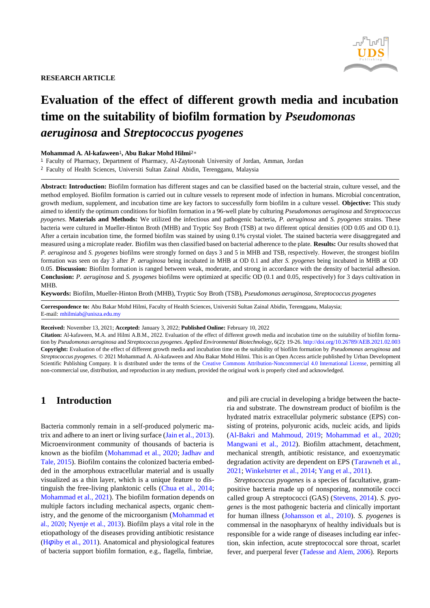

### **RESEARCH ARTICLE**

# **Evaluation of the effect of different growth media and incubation time on the suitability of biofilm formation by** *Pseudomonas aeruginosa* **and** *Streptococcus pyogenes*

#### **Mohammad A. Al-kafaween**1**, Abu Bakar Mohd Hilmi**2<sup>∗</sup>

<sup>1</sup> Faculty of Pharmacy, Department of Pharmacy, Al-Zaytoonah University of Jordan, Amman, Jordan

<sup>2</sup> Faculty of Health Sciences, Universiti Sultan Zainal Abidin, Terengganu, Malaysia

**Abstract: Introduction:** Biofilm formation has different stages and can be classified based on the bacterial strain, culture vessel, and the method employed. Biofilm formation is carried out in culture vessels to represent mode of infection in humans. Microbial concentration, growth medium, supplement, and incubation time are key factors to successfully form biofilm in a culture vessel. **Objective:** This study aimed to identify the optimum conditions for biofilm formation in a 96-well plate by culturing *Pseudomonas aeruginosa* and *Streptococcus pyogenes*. **Materials and Methods:** We utilized the infectious and pathogenic bacteria, *P. aeruginosa* and *S. pyogenes* strains. These bacteria were cultured in Mueller-Hinton Broth (MHB) and Tryptic Soy Broth (TSB) at two different optical densities (OD 0.05 and OD 0.1). After a certain incubation time, the formed biofilm was stained by using 0.1% crystal violet. The stained bacteria were disaggregated and measured using a microplate reader. Biofilm was then classified based on bacterial adherence to the plate. **Results:** Our results showed that *P. aeruginosa* and *S. pyogenes* biofilms were strongly formed on days 3 and 5 in MHB and TSB, respectively. However, the strongest biofilm formation was seen on day 3 after *P. aeruginosa* being incubated in MHB at OD 0.1 and after *S. pyogenes* being incubated in MHB at OD 0.05. **Discussion:** Biofilm formation is ranged between weak, moderate, and strong in accordance with the density of bacterial adhesion. **Conclusion:** *P. aeruginosa* and *S. pyogenes* biofilms were optimized at specific OD (0.1 and 0.05, respectively) for 3 days cultivation in MHB.

**Keywords:** Biofilm, Mueller-Hinton Broth (MHB), Tryptic Soy Broth (TSB), *Pseudomonas aeruginosa*, *Streptococcus pyogenes*

**Correspondence to:** Abu Bakar Mohd Hilmi, Faculty of Health Sciences, Universiti Sultan Zainal Abidin, Terengganu, Malaysia; E-mail: [mhilmiab@unisza.edu.my](mailto:mhilmiab@unisza.edu.my)

**Received:** November 13, 2021; **Accepted:** January 3, 2022; **Published Online:** February 10, 2022

**Citation:** Al-kafaween, M.A. and Hilmi A.B.M., 2022. Evaluation of the effect of different growth media and incubation time on the suitability of biofilm formation by *Pseudomonas aeruginosa* and *Streptococcus pyogenes*. *Applied Environmental Biotechnology*, 6(2): 19-26. <http://doi.org/10.26789/AEB.2021.02.003> **Copyright:** Evaluation of the effect of different growth media and incubation time on the suitability of biofilm formation by *Pseudomonas aeruginosa* and *Streptococcus pyogenes*. © 2021 Mohammad A. Al-kafaween and Abu Bakar Mohd Hilmi. This is an Open Access article published by Urban Development Scientific Publishing Company. It is distributed under the terms of the [Creative Commons Attribution-Noncommercial 4.0 International License,](https://creativecommons.org/licenses/by/4.0/) permitting all non-commercial use, distribution, and reproduction in any medium, provided the original work is properly cited and acknowledged.

# **1 Introduction**

Bacteria commonly remain in a self-produced polymeric matrix and adhere to an inert or living surface (Jain et al., [2013\)](#page-6-0). Microenvironment community of thousands of bacteria is known as the biofilm [\(Mohammad et al., 2020;](#page-6-1) [Jadhav and](#page-6-2) Tale, [2015\)](#page-6-2). Biofilm contains the colonized bacteria embedded in the amorphous extracellular material and is usually visualized as a thin layer, which is a unique feature to distinguish the free-living planktonic cells [\(Chua et al., 2014;](#page-5-0) [Mohammad](#page-6-3) et al., 2021). The biofilm formation depends on multiple factors including mechanical aspects, organic chemistry, and the genome of the microorganism [\(Mohammad et](#page-6-1) [al., 2020;](#page-6-1) [Nyenje et al., 2013\)](#page-6-4). Biofilm plays a vital role in the etiopathology of the diseases providing antibiotic resistance (H*φ*iby et al., [2011\)](#page-6-5). Anatomical and physiological features of bacteria support biofilm formation, e.g., flagella, fimbriae,

and pili are crucial in developing a bridge between the bacteria and substrate. The downstream product of biofilm is the hydrated matrix extracellular polymeric substance (EPS) consisting of proteins, polyuronic acids, nucleic acids, and lipids [\(Al-Bakri and Mahmoud, 2019;](#page-5-1) [Mohammad et al., 2020;](#page-6-1) [Mangwani et al., 2012\)](#page-6-6). Biofilm attachment, detachment, mechanical strength, antibiotic resistance, and exoenzymatic degradation activity are dependent on EPS [\(Tarawneh](#page-7-0) et al., [2021;](#page-7-0) [Winkelstrter](#page-7-1) et al., 2014; Yang et al., [2011\)](#page-7-2).

*Streptococcus pyogenes* is a species of facultative, grampositive bacteria made up of nonsporing, nonmotile cocci called group A streptococci (GAS) [\(Stevens, 2014\)](#page-7-3). *S. pyogenes* is the most pathogenic bacteria and clinically important for human illness [\(Johansson et al., 2010\)](#page-6-7). *S. pyogenes* is commensal in the nasopharynx of healthy individuals but is responsible for a wide range of diseases including ear infection, skin infection, acute streptococcal sore throat, scarlet fever, and puerperal fever [\(Tadesse](#page-7-4) and Alem, 2006). Reports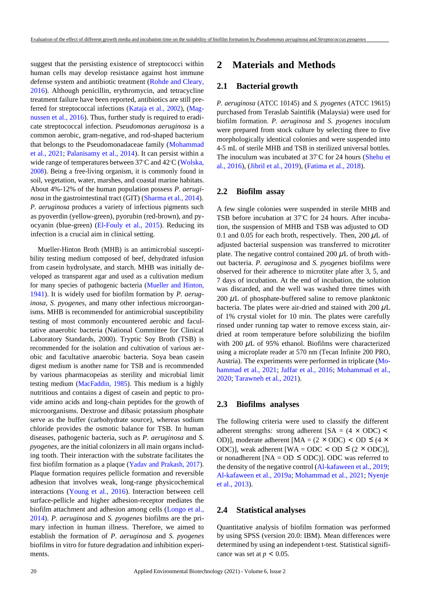suggest that the persisting existence of streptococci within human cells may develop resistance against host immune defense system and antibiotic treatment [\(Rohde and Cleary,](#page-6-8) [2016\)](#page-6-8). Although penicillin, erythromycin, and tetracycline treatment failure have been reported, antibiotics are still preferred for streptococcal infections [\(Kataja et al., 2002\)](#page-6-9), [\(Mag](#page-6-10)[nussen et al., 2016\)](#page-6-10). Thus, further study is required to eradicate streptococcal infection. *Pseudomonas aeruginosa* is a common aerobic, gram-negative, and rod-shaped bacterium that belongs to the Pseudomonadaceae family [\(Mohammad](#page-6-11) [et al., 2021;](#page-6-11) [Palanisamy et al., 2014\)](#page-6-12). It can persist within a wide range of temperatures between 37*◦*C and 42*◦*C [\(Wolska,](#page-7-5) [2008\)](#page-7-5). Being a free-living organism, it is commonly found in soil, vegetation, water, marshes, and coastal marine habitats. About 4%-12% of the human population possess *P. aeruginosa* in the gastrointestinal tract (GIT) [\(Sharma](#page-6-13) et al., 2014). *P. aeruginosa* produces a variety of infectious pigments such as pyoverdin (yellow-green), pyorubin (red-brown), and pyocyanin (blue-green) [\(El-Fouly et al., 2015\)](#page-5-2). Reducing its infection is a crucial aim in clinical setting.

Mueller-Hinton Broth (MHB) is an antimicrobial susceptibility testing medium composed of beef, dehydrated infusion from casein hydrolysate, and starch. MHB was initially developed as transparent agar and used as a cultivation medium for many species of pathogenic bacteria [\(Mueller and Hinton,](#page-6-14) [1941\)](#page-6-14). It is widely used for biofilm formation by *P. aeruginosa*, *S. pyogenes*, and many other infectious microorganisms. MHB is recommended for antimicrobial susceptibility testing of most commonly encountered aerobic and facultative anaerobic bacteria (National Committee for Clinical Laboratory Standards, 2000). Tryptic Soy Broth (TSB) is recommended for the isolation and cultivation of various aerobic and facultative anaerobic bacteria. Soya bean casein digest medium is another name for TSB and is recommended by various pharmacopeias as sterility and microbial limit testing medium [\(MacFaddin, 1985\)](#page-6-15). This medium is a highly nutritious and contains a digest of casein and peptic to provide amino acids and long-chain peptides for the growth of microorganisms. Dextrose and dibasic potassium phosphate serve as the buffer (carbohydrate source), whereas sodium chloride provides the osmotic balance for TSB. In human diseases, pathogenic bacteria, such as *P. aeruginosa* and *S. pyogenes*, are the initial colonizers in all main organs including tooth. Their interaction with the substrate facilitates the first biofilm formation as a plaque [\(Yadav and Prakash, 2017\)](#page-7-6). Plaque formation requires pellicle formation and reversible adhesion that involves weak, long-range physicochemical interactions [\(Young et al., 2016\)](#page-7-7). Interaction between cell surface-pellicle and higher adhesion-receptor mediates the biofilm attachment and adhesion among cells [\(Longo et al.,](#page-6-16) [2014\)](#page-6-16). *P. aeruginosa* and *S. pyogenes* biofilms are the primary infection in human illness. Therefore, we aimed to establish the formation of *P. aeruginosa* and *S. pyogenes* biofilms in vitro for future degradation and inhibition experiments.

### **2 Materials and Methods**

#### **2.1 Bacterial growth**

*P. aeruginosa* (ATCC 10145) and *S. pyogenes* (ATCC 19615) purchased from Teraslab Saintifik (Malaysia) were used for biofilm formation. *P. aeruginosa* and *S. pyogenes* inoculum were prepared from stock culture by selecting three to five morphologically identical colonies and were suspended into 4-5 mL of sterile MHB and TSB in sterilized universal bottles. The inoculum was incubated at 37*◦*C for 24 hours [\(Shehu et](#page-6-17) al., [2016\)](#page-6-17), [\(Jibril](#page-6-18) et al., 2019), [\(Fatima](#page-6-19) et al., 2018).

#### **2.2 Biofilm assay**

A few single colonies were suspended in sterile MHB and TSB before incubation at 37*◦*C for 24 hours. After incubation, the suspension of MHB and TSB was adjusted to OD 0.1 and 0.05 for each broth, respectively. Then, 200 *µ*L of adjusted bacterial suspension was transferred to microtiter plate. The negative control contained 200 *µ*L of broth without bacteria. *P. aeruginosa* and *S. pyogenes* biofilms were observed for their adherence to microtiter plate after 3, 5, and 7 days of incubation. At the end of incubation, the solution was discarded, and the well was washed three times with 200  $\mu$ L of phosphate-buffered saline to remove planktonic bacteria. The plates were air-dried and stained with 200 *µ*L of 1% crystal violet for 10 min. The plates were carefully rinsed under running tap water to remove excess stain, airdried at room temperature before solubilizing the biofilm with 200  $\mu$ L of 95% ethanol. Biofilms were characterized using a microplate reader at 570 nm (Tecan Infinite 200 PRO, Austria). The experiments were performed in triplicate [\(Mo](#page-6-3)[hammad et al., 2021;](#page-6-3) [Jaffar et al., 2016;](#page-6-20) [Mohammad et al.,](#page-6-1) [2020;](#page-6-1) [Tarawneh](#page-7-0) et al., 2021).

#### **2.3 Biofilms analyses**

or nonadherent [NA = OD  $\leq$  ODC)]. ODC was referred to *ODC*)], weak adherent [WA = *ODC* < *OD* ≤  $(2 \times$  *ODC*)], *OD*)], moderate adherent [MA =  $(2 \times$  ODC) < OD ≤  $(4 \times$ *×* adherent strengths: strong adherent [SA = (4 ODC) *<* The following criteria were used to classify the different the density of the negative control [\(Al-kafaween](#page-5-3) et al., 2019; [Al-kafaween et](#page-5-4) al., 2019a; [Mohammad](#page-6-3) et al., 2021; [Nyenje](#page-6-4) et al., [2013\)](#page-6-4).

### **2.4 Statistical analyses**

Quantitative analysis of biofilm formation was performed by using SPSS (version 20.0: IBM). Mean differences were determined by using an independent t-test. Statistical significance was set at  $p < 0.05$ .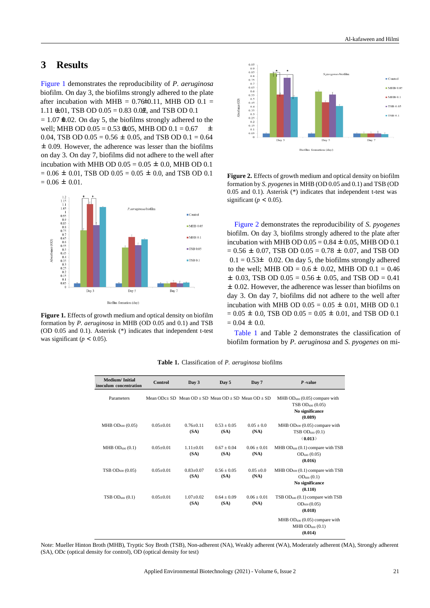# **3 Results**

*±* 0.09. However, the adherence was lesser than the biofilms 0.04, TSB OD  $0.05 = 0.56 \pm 0.05$ , and TSB OD  $0.1 = 0.64$  $\text{well}$ ; MHB OD 0.05 = 0.53  $\text{£}$ 05, MHB OD 0.1 = 0.67  $\pm$  $= 1.07$  **⊕**.02. On day 5, the biofilms strongly adhered to the  $1.11 \oplus 01$ , TSB OD  $0.05 = 0.83$   $0.04$ , and TSB OD 0.1 after incubation with  $MHB = 0.76 \pm 0.11$ , MHB OD  $0.1 =$ [Figure 1 d](#page-2-0)emonstrates the reproducibility of *P. aeruginosa* biofilm. On day 3, the biofilms strongly adhered to the plate on day 3. On day 7, biofilms did not adhere to the well after incubation with MHB OD  $0.05 = 0.05 \pm 0.0$ , MHB OD 0.1  $= 0.06 \pm 0.01$ , TSB OD  $0.05 = 0.05 \pm 0.0$ , and TSB OD 0.1  $= 0.06 \pm 0.01$ .

<span id="page-2-0"></span>

**Figure 1.** Effects of growth medium and optical density on biofilm formation by *P. aeruginosa* in MHB (OD 0.05 and 0.1) and TSB (OD 0.05 and 0.1). Asterisk (\*) indicates that independent t-test was significant ( $p < 0.05$ ).



<span id="page-2-1"></span>**Figure 2.** Effects of growth medium and optical density on biofilm formation by *S. pyogenes*in MHB (OD 0.05 and 0.1) and TSB (OD 0.05 and 0.1). Asterisk (\*) indicates that independent t-test was significant ( $p < 0.05$ ).

*±* 0.02. However, the adherence was lesser than biofilms on  $\pm$  0.03, TSB OD 0.05 = 0.56  $\pm$  0.05, and TSB OD = 0.41 to the well; MHB OD =  $0.6 \pm 0.02$ , MHB OD  $0.1 = 0.46$  $0.1 = 0.53 \pm 0.02$ . On day 5, the biofilms strongly adhered  $= 0.56 \pm 0.07$ , TSB OD  $0.05 = 0.78 \pm 0.07$ , and TSB OD incubation with MHB OD  $0.05 = 0.84 \pm 0.05$ , MHB OD 0.1 [Figure 2 d](#page-2-1)emonstrates the reproducibility of *S. pyogenes* biofilm. On day 3, biofilms strongly adhered to the plate after day 3. On day 7, biofilms did not adhere to the well after incubation with MHB OD  $0.05 = 0.05 \pm 0.01$ , MHB OD 0.1  $= 0.05 \pm 0.0$ , TSB OD  $0.05 = 0.05 \pm 0.01$ , and TSB OD 0.1  $= 0.04 \pm 0.0$ .

[Table 1](#page-3-0) and Table 2 demonstrates the classification of biofilm formation by *P. aeruginosa* and *S. pyogenes* on mi-

| <b>Medium/Initial</b><br>inoculum concentration | Control                                                    | Day 3                 | Day 5                 | Day 7                 | $P$ -value                                                                                       |
|-------------------------------------------------|------------------------------------------------------------|-----------------------|-----------------------|-----------------------|--------------------------------------------------------------------------------------------------|
| <b>Parameters</b>                               | Mean $ODc+SD$ Mean $OD + SD$ Mean $OD + SD$ Mean $OD + SD$ |                       |                       |                       | MHB $OD_{600}$ (0.05) compare with<br>TSB OD <sub>600</sub> (0.05)<br>No significance<br>(0.089) |
| MHB $OD_{600}$ $(0.05)$                         | $0.05 + 0.01$                                              | $0.76 + 0.11$<br>(SA) | $0.53 + 0.05$<br>(SA) | $0.05 + 0.0$<br>(NA)  | MHB $OD_{600}$ (0.05) compare with<br>TSB $OD_{600}$ $(0.1)$<br>(0.013)                          |
| MHB OD <sub>600</sub> (0.1)                     | $0.05 \pm 0.01$                                            | $1.11 + 0.01$<br>(SA) | $0.67 + 0.04$<br>(SA) | $0.06 + 0.01$<br>(NA) | MHB $OD_{600}$ (0.1) compare with TSB<br>$OD_{600}$ (0.05)<br>(0.016)                            |
| TSB $OD_{600}$ $(0.05)$                         | $0.05 \pm 0.01$                                            | $0.83 + 0.07$<br>(SA) | $0.56 + 0.05$<br>(SA) | $0.05 + 0.0$<br>(NA)  | MHB $OD_{600}$ (0.1) compare with TSB<br>$OD_{600}$ $(0.1)$<br>No significance<br>(0.110)        |
| TSB OD <sub>600</sub> (0.1)                     | $0.05 \pm 0.01$                                            | $1.07 + 0.02$<br>(SA) | $0.64 + 0.09$<br>(SA) | $0.06 + 0.01$<br>(NA) | TSB $OD_{600}$ (0.1) compare with TSB<br>$OD_{600} (0.05)$<br>(0.018)                            |
|                                                 |                                                            |                       |                       |                       | MHB $OD_{600}$ (0.05) compare with<br>MHB OD <sub>600</sub> (0.1)<br>(0.014)                     |

**Table 1.** Classification of *P. aeruginosa* biofilms

Note: Mueller Hinton Broth (MHB), Tryptic Soy Broth (TSB), Non-adherent (NA), Weakly adherent (WA), Moderately adherent (MA), Strongly adherent (SA), ODc (optical density for control), OD (optical density for test)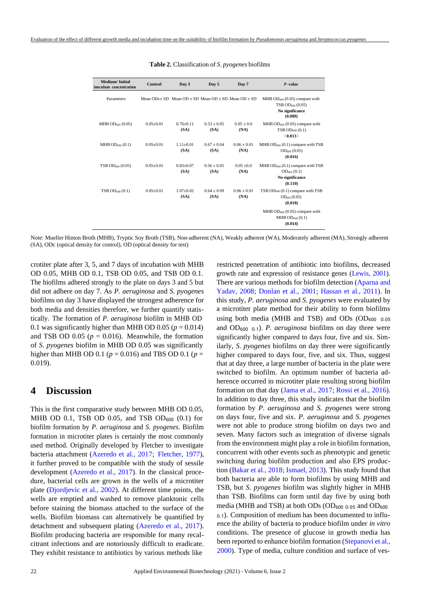<span id="page-3-0"></span>

| <b>Medium/Initial</b><br>inoculum concentration | Control                                                    | Day 3                 | Day 5                 | Day 7                 | $P$ -value                                                                                       |
|-------------------------------------------------|------------------------------------------------------------|-----------------------|-----------------------|-----------------------|--------------------------------------------------------------------------------------------------|
| Parameters                                      | Mean $ODc+SD$ Mean $OD + SD$ Mean $OD + SD$ Mean $OD + SD$ |                       |                       |                       | MHB $OD_{600}$ (0.05) compare with<br>TSB OD <sub>600</sub> (0.05)<br>No significance<br>(0.089) |
| MHB $OD_{600}$ (0.05)                           | $0.05 + 0.01$                                              | $0.76 + 0.11$<br>(SA) | $0.53 + 0.05$<br>(SA) | $0.05 + 0.0$<br>(NA)  | MHB $OD_{600}$ (0.05) compare with<br>$TSB OD600$ $(0.1)$<br>(0.013)                             |
| MHB $OD_{600}$ (0.1)                            | $0.05 + 0.01$                                              | $1.11 + 0.01$<br>(SA) | $0.67 + 0.04$<br>(SA) | $0.06 + 0.01$<br>(NA) | MHB $OD_{600}$ (0.1) compare with TSB<br>$OD_{600}$ (0.05)<br>(0.016)                            |
| TSB OD <sub>600</sub> (0.05)                    | $0.05 \pm 0.01$                                            | $0.83 + 0.07$<br>(SA) | $0.56 + 0.05$<br>(SA) | $0.05 + 0.0$<br>(NA)  | MHB $OD_{600}$ (0.1) compare with TSB<br>$OD_{600} (0.1)$<br>No significance<br>(0.110)          |
| TSB OD <sub>600</sub> (0.1)                     | $0.05 + 0.01$                                              | $1.07 + 0.02$<br>(SA) | $0.64 + 0.09$<br>(SA) | $0.06 + 0.01$<br>(NA) | TSB $OD_{600}$ (0.1) compare with TSB<br>$OD_{600} (0.05)$<br>(0.018)                            |
|                                                 |                                                            |                       |                       |                       | MHB $OD_{600}$ (0.05) compare with<br>$MHB OD_{600} (0.1)$<br>(0.014)                            |

| <b>Table 2.</b> Classification of S. pyogenes biofilms |  |
|--------------------------------------------------------|--|
|--------------------------------------------------------|--|

Note: Mueller Hinton Broth (MHB), Tryptic Soy Broth (TSB), Non-adherent (NA), Weakly adherent (WA), Moderately adherent (MA), Strongly adherent (SA), ODc (optical density for control), OD (optical density for test)

crotiter plate after 3, 5, and 7 days of incubation with MHB OD 0.05, MHB OD 0.1, TSB OD 0.05, and TSB OD 0.1. The biofilms adhered strongly to the plate on days 3 and 5 but did not adhere on day 7. As *P. aeruginosa* and *S. pyogenes* biofilms on day 3 have displayed the strongest adherence for both media and densities therefore, we further quantify statistically. The formation of *P. aeruginosa* biofilm in MHB OD 0.1 was significantly higher than MHB OD 0.05 ( $p = 0.014$ ) and TSB OD  $0.05$  ( $p = 0.016$ ). Meanwhile, the formation of *S. pyogenes* biofilm in MHB OD 0.05 was significantly higher than MHB OD 0.1 (*p* = 0.016) and TBS OD 0.1 (*p* = 0.019).

### **4 Discussion**

This is the first comparative study between MHB OD 0.05, MHB OD 0.1, TSB OD 0.05, and TSB OD<sub>600</sub>  $(0.1)$  for biofilm formation by *P. aeruginosa* and *S. pyogenes*. Biofilm formation in microtiter plates is certainly the most commonly used method. Originally developed by Fletcher to investigate bacteria attachment [\(Azeredo et al., 2017;](#page-5-5) [Fletcher, 1977\)](#page-5-6), it further proved to be compatible with the study of sessile development [\(Azeredo et al., 2017\)](#page-5-5). In the classical procedure, bacterial cells are grown in the wells of a microtiter plate [\(Djordjevic et al., 2002\)](#page-5-7). At different time points, the wells are emptied and washed to remove planktonic cells before staining the biomass attached to the surface of the wells. Biofilm biomass can alternatively be quantified by detachment and subsequent plating [\(Azeredo et al., 2017\)](#page-5-5). Biofilm producing bacteria are responsible for many recalcitrant infections and are notoriously difficult to eradicate. They exhibit resistance to antibiotics by various methods like

restricted penetration of antibiotic into biofilms, decreased growth rate and expression of resistance genes [\(Lewis, 2001\)](#page-6-21). There are various methods for biofilm detection [\(Aparna](#page-5-8) and [Yadav, 2008;](#page-5-8) [Donlan et al., 2001;](#page-5-9) [Hassan et al., 2011\)](#page-5-10). In this study, *P. aeruginosa* and *S. pyogenes* were evaluated by a microtiter plate method for their ability to form biofilms using both media (MHB and TSB) and ODs (OD<sub>600 0.05</sub> and OD<sup>600</sup> <sup>0</sup>*.*1). *P. aeruginosa* biofilms on day three were significantly higher compared to days four, five and six. Similarly, *S. pyogenes* biofilms on day three were significantly higher compared to days four, five, and six. Thus, suggest that at day three, a large number of bacteria in the plate were switched to biofilm. An optimum number of bacteria adherence occurred in microtiter plate resulting strong biofilm formation on that day [\(Jama et al., 2017;](#page-6-22) [Rossi et al., 2016\)](#page-6-23). In addition to day three, this study indicates that the biofilm formation by *P. aeruginosa* and *S. pyogenes* were strong on days four, five and six. *P. aeruginosa* and *S. pyogenes* were not able to produce strong biofilm on days two and seven. Many factors such as integration of diverse signals from the environment might play a role in biofilm formation, concurrent with other events such as phenotypic and genetic switching during biofilm production and also EPS production [\(Bakar](#page-5-11) et al., 2018; [Ismael,](#page-6-24) 2013). This study found that both bacteria are able to form biofilms by using MHB and TSB, but *S. pyogenes* biofilm was slightly higher in MHB than TSB. Biofilms can form until day five by using both media (MHB and TSB) at both ODs (OD<sup>600</sup> <sup>0</sup>*.*<sup>05</sup> and OD<sup>600</sup> <sup>0</sup>*.*1). Composition of medium has been documented to influence the ability of bacteria to produce biofilm under *in vitro* conditions. The presence of glucose in growth media has been reported to enhance biofilm formation [\(Stepanovi](#page-6-25) et al., [2000\)](#page-6-25). Type of media, culture condition and surface of ves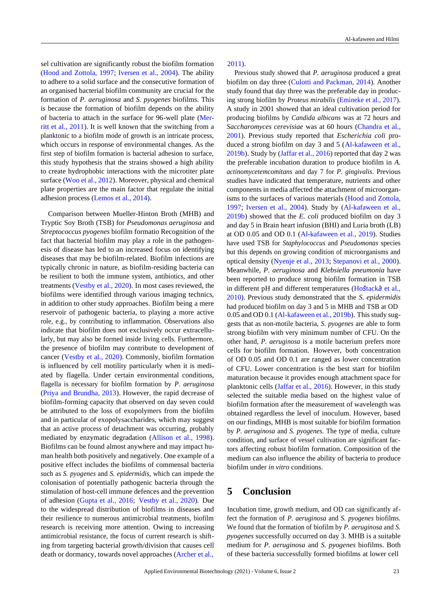sel cultivation are significantly robust the biofilm formation [\(Hood and Zottola, 1997;](#page-6-26) [Iversen et al., 2004\)](#page-6-27). The ability to adhere to a solid surface and the consecutive formation of an organised bacterial biofilm community are crucial for the formation of *P. aeruginosa* and *S. pyogenes* biofilms. This is because the formation of biofilm depends on the ability of bacteria to attach in the surface for 96-well plate [\(Mer](#page-6-28)[ritt et al., 2011\)](#page-6-28). It is well known that the switching from a planktonic to a biofilm mode of growth is an intricate process, which occurs in response of environmental changes. As the first step of biofilm formation is bacterial adhesion to surface, this study hypothesis that the strains showed a high ability to create hydrophobic interactions with the microtiter plate surface [\(Woo](#page-7-8) et al., 2012). Moreover, physical and chemical plate properties are the main factor that regulate the initial adhesion process [\(Lemos](#page-6-29) et al., 2014).

Comparison between Mueller-Hinton Broth (MHB) and Tryptic Soy Broth (TSB) for *Pseudomonas aeruginosa* and *Streptococcus pyogenes* biofilm formatio Recognition of the fact that bacterial biofilm may play a role in the pathogenesis of disease has led to an increased focus on identifying diseases that may be biofilm-related. Biofilm infections are typically chronic in nature, as biofilm-residing bacteria can be resilient to both the immune system, antibiotics, and other treatments [\(Vestby](#page-7-9) et al., 2020). In most cases reviewed, the biofilms were identified through various imaging technics, in addition to other study approaches. Biofilm being a mere reservoir of pathogenic bacteria, to playing a more active role, e.g., by contributing to inflammation. Observations also indicate that biofilm does not exclusively occur extracellularly, but may also be formed inside living cells. Furthermore, the presence of biofilm may contribute to development of cancer [\(Vestby et al., 2020\)](#page-7-9). Commonly, biofilm formation is influenced by cell motility particularly when it is mediated by flagella. Under certain environmental conditions, flagella is necessary for biofilm formation by *P. aeruginosa* [\(Priya and Brundha, 2013\)](#page-6-30). However, the rapid decrease of biofilm-forming capacity that observed on day seven could be attributed to the loss of exopolymers from the biofilm and in particular of exopolysaccharides, which may suggest that an active process of detachment was occurring, probably mediated by enzymatic degradation [\(Allison et al., 1998\)](#page-5-12). Biofilms can be found almost anywhere and may impact human health both positively and negatively. One example of a positive effect includes the biofilms of commensal bacteria such as *S. pyogenes* and *S. epidermidis*, which can impede the colonisation of potentially pathogenic bacteria through the stimulation of host-cell immune defences and the prevention of adhesion [\(Gupta et al., 2016;](#page-5-13) [Vestby et al., 2020\)](#page-7-9). Due to the widespread distribution of biofilms in diseases and their resilience to numerous antimicrobial treatments, biofilm research is receiving more attention. Owing to increasing antimicrobial resistance, the focus of current research is shifting from targeting bacterial growth/division that causes cell death or dormancy, towards novel approaches [\(Archer](#page-5-14) et al.,

[2011\)](#page-5-14).

Previous study showed that *P. aeruginosa* produced a great biofilm on day three [\(Culotti and Packman, 2014\)](#page-5-15). Another study found that day three was the preferable day in producing strong biofilm by *Proteus mirabilis* [\(Emineke et al., 2017\)](#page-5-16). A study in 2001 showed that an ideal cultivation period for producing biofilms by *Candida albicans* was at 72 hours and *Saccharomyces cerevisiae* was at 60 hours [\(Chandra et al.,](#page-5-17) [2001\)](#page-5-17). Previous study reported that *Escherichia coli* produced a strong biofilm on day 3 and 5 [\(Al-kafaween et al.,](#page-5-18) [2019b\)](#page-5-18). Study by [\(Jaffar](#page-6-20) et al., 2016) reported that day 2 was the preferable incubation duration to produce biofilm in *A. actinomycetemcomitans* and day 7 for *P. gingivalis*. Previous studies have indicated that temperature, nutrients and other components in media affected the attachment of microorganisms to the surfaces of various materials [\(Hood and Zottola,](#page-6-26) [1997;](#page-6-26) [Iversen et al., 2004\)](#page-6-27). Study by [\(Al-kafaween et al.,](#page-5-18) [2019b\)](#page-5-18) showed that the *E. coli* produced biofilm on day 3 and day 5 in Brain heart infusion (BHI) and Luria broth (LB) at OD 0.05 and OD 0.1 [\(Al-kafaween et al., 2019\)](#page-5-3). Studies have used TSB for *Staphylococcus* and *Pseudomonas* species but this depends on growing condition of microorganisms and optical density [\(Nyenje et al., 2013;](#page-6-4) [Stepanovi et al., 2000\)](#page-6-25). Meanwhile, *P. aeruginosa* and *Klebsiella pneumonia* have been reported to produce strong biofilm formation in TSB in different pH and different temperatures (Hoš[tack](#page-6-31)á et al., [2010\)](#page-6-31). Previous study demonstrated that the *S. epidermidis* had produced biofilm on day 3 and 5 in MHB and TSB at OD  $0.05$  and OD  $0.1$  [\(Al-kafaween](#page-5-18) et al., 2019b). This study suggests that as non-motile bacteria, *S. pyogenes* are able to form strong biofilm with very minimum number of CFU. On the other hand, *P. aeruginosa* is a motile bacterium prefers more cells for biofilm formation. However, both concentration of OD 0.05 and OD 0.1 are ranged as lower concentration of CFU. Lower concentration is the best start for biofilm maturation because it provides enough attachment space for planktonic cells [\(Jaffar et al., 2016\)](#page-6-20). However, in this study selected the suitable media based on the highest value of biofilm formation after the measurement of wavelength was obtained regardless the level of inoculum. However, based on our findings, MHB is most suitable for biofilm formation by *P. aeruginosa* and *S. pyogenes*. The type of media, culture condition, and surface of vessel cultivation are significant factors affecting robust biofilm formation. Composition of the medium can also influence the ability of bacteria to produce biofilm under *in vitro* conditions.

### **5 Conclusion**

Incubation time, growth medium, and OD can significantly affect the formation of *P. aeruginosa* and *S. pyogenes* biofilms. We found that the formation of biofilm by *P. aeruginosa* and *S. pyogenes* successfully occurred on day 3. MHB is a suitable medium for *P. aeruginosa* and *S. pyogenes* biofilms. Both of these bacteria successfully formed biofilms at lower cell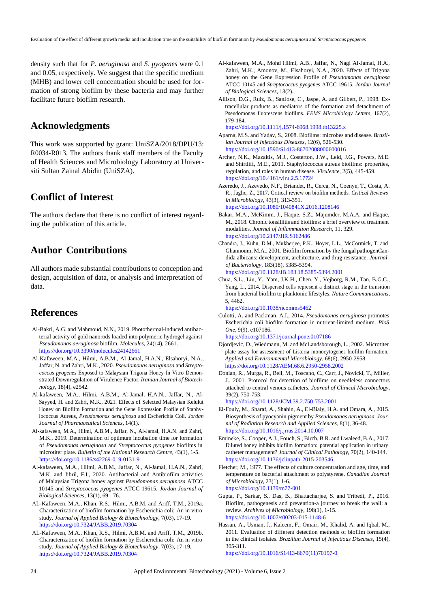density such that for *P. aeruginosa* and *S. pyogenes* were 0.1 and 0.05, respectively. We suggest that the specific medium (MHB) and lower cell concentration should be used for formation of strong biofilm by these bacteria and may further facilitate future biofilm research.

### **Acknowledgments**

This work was supported by grant: UniSZA/2018/DPU/13: R0034-R013. The authors thank staff members of the Faculty of Health Sciences and Microbiology Laboratory at Universiti Sultan Zainal Abidin (UniSZA).

# **Conflict of Interest**

The authors declare that there is no conflict of interest regarding the publication of this article.

# **Author Contributions**

All authors made substantial contributions to conception and design, acquisition of data, or analysis and interpretation of data.

### **References**

- <span id="page-5-1"></span>Al-Bakri, A.G. and Mahmoud, N.N., 2019. Photothermal-induced antibacterial activity of gold nanorods loaded into polymeric hydrogel against *Pseudomonas aeruginosa* biofilm. *Molecules*, 24(14), 2661. <https://doi.org/10.3390/molecules24142661>
- Al-Kafaween, M.A., Hilmi, A.B.M., Al-Jamal, H.A.N., Elsahoryi, N.A., Jaffar, N. and Zahri, M.K., 2020. *Pseudomonas aeruginosa* and *Streptococcus pyogenes* Exposed to Malaysian Trigona Honey In Vitro Demonstrated Downregulation of Virulence Factor. *Iranian Journal of Biotechnology*, 18(4), e2542.
- Al-kafaween, M.A., Hilmi, A.B.M., Al-Jamal, H.A.N., Jaffar, N., Al-Sayyed, H. and Zahri, M.K., 2021. Effects of Selected Malaysian Kelulut Honey on Biofilm Formation and the Gene Expression Profile of Staphylococcus Aureus, *Pseudomonas aeruginosa* and Escherichia Coli. *Jordan Journal of Pharmaceutical Sciences*, 14(1).
- <span id="page-5-3"></span>Al-kafaween, M.A., Hilmi, A.B.M., Jaffar, N., Al-Jamal, H.A.N. and Zahri, M.K., 2019. Determination of optimum incubation time for formation of *Pseudomonas aeruginosa* and *Streptococcus pyogenes* biofilms in microtiter plate. *Bulletin of the National Research Centre*, 43(1), 1-5. <https://doi.org/10.1186/s42269-019-0131-9>
- Al-kafaween, M.A., Hilmi, A.B.M., Jaffar, N., Al-Jamal, H.A.N., Zahri, M.K. and Jibril, F.I., 2020. Antibacterial and Antibiofilm activities of Malaysian Trigona honey against *Pseudomonas aeruginosa* ATCC 10145 and *Streptococcus pyogenes* ATCC 19615. *Jordan Journal of Biological Sciences*, 13(1), 69 - 76.
- <span id="page-5-4"></span>AL-Kafaween, M.A., Khan, R.S., Hilmi, A.B.M. and Ariff, T.M., 2019a. Characterization of biofilm formation by Escherichia coli: An in vitro study. *Journal of Applied Biology & Biotechnology*, 7(03), 17-19. <https://doi.org/10.7324/JABB.2019.70304>
- <span id="page-5-18"></span>AL-Kafaween, M.A., Khan, R.S., Hilmi, A.B.M. and Ariff, T.M., 2019b. Characterization of biofilm formation by Escherichia coli: An in vitro study. *Journal of Applied Biology & Biotechnology*, 7(03), 17-19. <https://doi.org/10.7324/JABB.2019.70304>
- Al-kafaween, M.A., Mohd Hilmi, A.B., Jaffar, N., Nagi Al-Jamal, H.A., Zahri, M.K., Amonov, M., Elsahoryi, N.A., 2020. Effects of Trigona honey on the Gene Expression Profile of *Pseudomonas aeruginosa* ATCC 10145 and *Streptococcus pyogenes* ATCC 19615. *Jordan Journal of Biological Sciences*, 13(2).
- <span id="page-5-12"></span>Allison, D.G., Ruiz, B., SanJose, C., Jaspe, A. and Gilbert, P., 1998. Extracellular products as mediators of the formation and detachment of Pseudomonas fluorescens biofilms. *FEMS Microbiology Letters*, 167(2), 179-184. <https://doi.org/10.1111/j.1574-6968.1998.tb13225.x>

<span id="page-5-8"></span>Aparna, M.S. and Yadav, S., 2008. Biofilms: microbes and disease. *Brazilian Journal of Infectious Diseases*, 12(6), 526-530. <https://doi.org/10.1590/S1413-86702008000600016>

- <span id="page-5-14"></span>Archer, N.K., Mazaitis, M.J., Costerton, J.W., Leid, J.G., Powers, M.E. and Shirtliff, M.E., 2011. Staphylococcus aureus biofilms: properties, regulation, and roles in human disease. *Virulence*, 2(5), 445-459. <https://doi.org/10.4161/viru.2.5.17724>
- <span id="page-5-5"></span>Azeredo, J., Azevedo, N.F., Briandet, R., Cerca, N., Coenye, T., Costa, A. R., Jaglic, Z., 2017. Critical review on biofilm methods. *Critical Reviews in Microbiology*, 43(3), 313-351. <https://doi.org/10.1080/1040841X.2016.1208146>
- <span id="page-5-11"></span>Bakar, M.A., McKimm, J., Haque, S.Z., Majumder, M.A.A. and Haque, M., 2018. Chronic tonsillitis and biofilms: a brief overview of treatment modalities. *Journal of Inflammation Research*, 11, 329. <https://doi.org/10.2147/JIR.S162486>
- <span id="page-5-17"></span>Chandra, J., Kuhn, D.M., Mukherjee, P.K., Hoyer, L.L., McCormick, T. and Ghannoum, M.A., 2001. Biofilm formation by the fungal pathogenCandida albicans: development, architecture, and drug resistance. *Journal of Bacteriology*, 183(18), 5385-5394. <https://doi.org/10.1128/JB.183.18.5385-5394.2001>
- <span id="page-5-0"></span>Chua, S.L., Liu, Y., Yam, J.K.H., Chen, Y., Vejborg, R.M., Tan, B.G.C., Yang, L., 2014. Dispersed cells represent a distinct stage in the transition from bacterial biofilm to planktonic lifestyles. *Nature Communications*, 5, 4462.

<https://doi.org/10.1038/ncomms5462>

- <span id="page-5-15"></span>Culotti, A. and Packman, A.I., 2014. *Pseudomonas aeruginosa* promotes Escherichia coli biofilm formation in nutrient-limited medium. *PloS One*, 9(9), e107186. <https://doi.org/10.1371/journal.pone.0107186>
- <span id="page-5-7"></span>Djordjevic, D., Wiedmann, M. and McLandsborough, L., 2002. Microtiter plate assay for assessment of Listeria monocytogenes biofilm formation. *Applied and Environmental Microbiology*, 68(6), 2950-2958.
- <span id="page-5-9"></span><https://doi.org/10.1128/AEM.68.6.2950-2958.2002> Donlan, R., Murga, R., Bell, M., Toscano, C., Carr, J., Novicki, T., Miller, J., 2001. Protocol for detection of biofilms on needleless connectors attached to central venous catheters. *Journal of Clinical Microbiology*, 39(2), 750-753. <https://doi.org/10.1128/JCM.39.2.750-753.2001>
- <span id="page-5-2"></span>El-Fouly, M., Sharaf, A., Shahin, A., El-Bialy, H.A. and Omara, A., 2015. Biosynthesis of pyocyanin pigment by *Pseudomonas aeruginosa*. *Journal of Radiation Research and Applied Sciences*, 8(1), 36-48. <https://doi.org/10.1016/j.jrras.2014.10.007>
- <span id="page-5-16"></span>Emineke, S., Cooper, A.J., Fouch, S., Birch, B.R. and Lwaleed, B.A., 2017. Diluted honey inhibits biofilm formation: potential application in urinary catheter management? *Journal of Clinical Pathology*, 70(2), 140-144. <https://doi.org/10.1136/jclinpath-2015-203546>
- <span id="page-5-6"></span>Fletcher, M., 1977. The effects of culture concentration and age, time, and temperature on bacterial attachment to polystyrene. *Canadian Journal of Microbiology*, 23(1), 1-6. <https://doi.org/10.1139/m77-001>
- <span id="page-5-13"></span>Gupta, P., Sarkar, S., Das, B., Bhattacharjee, S. and Tribedi, P., 2016. Biofilm, pathogenesis and prevention-a journey to break the wall: a review. *Archives of Microbiology*, 198(1), 1-15. <https://doi.org/10.1007/s00203-015-1148-6>
- <span id="page-5-10"></span>Hassan, A., Usman, J., Kaleem, F., Omair, M., Khalid, A. and Iqbal, M., 2011. Evaluation of different detection methods of biofilm formation in the clinical isolates. *Brazilian Journal of Infectious Diseases*, 15(4), 305-311. [https://doi.org/10.1016/S1413-8670\(11\)70197-0](https://doi.org/10.1016/S1413-8670(11)70197-0)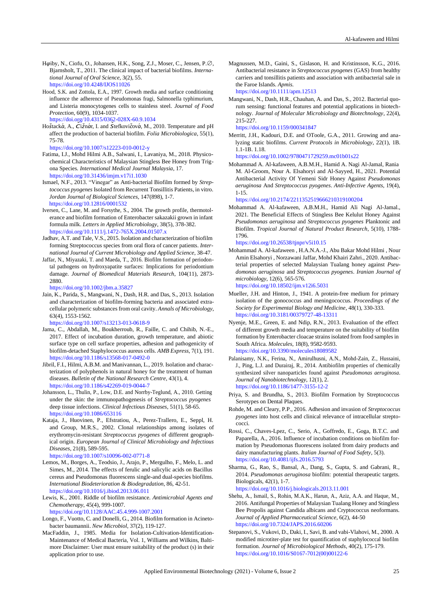- <span id="page-6-5"></span>H*φ*iby, N., Ciofu, O., Johansen, H.K., Song, Z.J., Moser, C., Jensen, P.∅, Bjarnsholt, T., 2011. The clinical impact of bacterial biofilms. *International Journal of Oral Science*, 3(2), 55. <https://doi.org/10.4248/IJOS11026>
- <span id="page-6-26"></span>Hood, S.K. and Zottola, E.A., 1997. Growth media and surface conditioning influence the adherence of Pseudomonas fragi, Salmonella typhimurium, and Listeria monocytogenes cells to stainless steel. *Journal of Food Protection*, 60(9), 1034-1037. <https://doi.org/10.4315/0362-028X-60.9.1034>
- <span id="page-6-31"></span>Hoštacká, A., Čižnár, I. and Štefkovičová, M., 2010. Temperature and pH affect the production of bacterial biofilm. *Folia Microbiologica*, 55(1), 75-78.

<https://doi.org/10.1007/s12223-010-0012-y>

- <span id="page-6-19"></span>Fatima, I.J., Mohd Hilmi A.B., Salwani, I., Lavaniya, M., 2018. Physicochemical Characteristics of Malaysian Stingless Bee Honey from Trigona Species. *International Medical Journal Malaysia*, 17. <https://doi.org/10.31436/imjm.v17i1.1030>
- <span id="page-6-24"></span>Ismael, N.F., 2013. "Vinegar" as Anti-bacterial Biofilm formed by *Streptococcus pyogenes* Isolated from Recurrent Tonsillitis Patients, in vitro. *Jordan Journal of Biological Sciences*, 147(898), 1-7. <https://doi.org/10.12816/0001532>
- <span id="page-6-27"></span>Iversen, C., Lane, M. and Forsythe, S., 2004. The growth profile, thermotolerance and biofilm formation of Enterobacter sakazakii grown in infant formula milk. *Letters in Applied Microbiology*, 38(5), 378-382. <https://doi.org/10.1111/j.1472-765X.2004.01507.x>
- <span id="page-6-2"></span>Jadhav, A.T. and Tale, V.S., 2015. Isolation and characterization of biofilm forming Streptococcus species from oral flora of cancer patients. *International Journal of Current Microbiology and Applied Science*, 38-47.
- <span id="page-6-20"></span>Jaffar, N., Miyazaki, T. and Maeda, T., 2016. Biofilm formation of periodontal pathogens on hydroxyapatite surfaces: Implications for periodontium damage. *Journal of Biomedical Materials Research*, 104(11), 2873- 2880.

<https://doi.org/10.1002/jbm.a.35827>

<span id="page-6-0"></span>Jain, K., Parida, S., Mangwani, N., Dash, H.R. and Das, S., 2013. Isolation and characterization of biofilm-forming bacteria and associated extracellular polymeric substances from oral cavity. *Annals of Microbiology*, 63(4), 1553-1562.

<https://doi.org/10.1007/s13213-013-0618-9>

- <span id="page-6-22"></span>Jama, C., Abdallah, M., Boukherroub, R., Faille, C. and Chihib, N.-E., 2017. Effect of incubation duration, growth temperature, and abiotic surface type on cell surface properties, adhesion and pathogenicity of biofilm-detached Staphylococcus aureus cells. *AMB Express*, 7(1), 191. <https://doi.org/10.1186/s13568-017-0492-0>
- <span id="page-6-18"></span>Jibril, F.I., Hilmi, A.B.M. and Manivannan, L., 2019. Isolation and characterization of polyphenols in natural honey for the treatment of human diseases. *Bulletin of the National Research Centre*, 43(1), 4. <https://doi.org/10.1186/s42269-019-0044-7>
- <span id="page-6-7"></span>Johansson, L., Thulin, P., Low, D.E. and Norrby-Teglund, A., 2010. Getting under the skin: the immunopathogenesis of *Streptococcus pyogenes* deep tissue infections. *Clinical Infectious Diseases*, 51(1), 58-65. <https://doi.org/10.1086/653116>
- <span id="page-6-9"></span>Kataja, J., Huovinen, P., Efstratiou, A., Perez-Trallero, E., Seppl, H. and Group, M.R.S., 2002. Clonal relationships among isolates of erythromycin-resistant *Streptococcus pyogenes* of different geographical origin. *European Journal of Clinical Microbiology and Infectious Diseases*, 21(8), 589-595. <https://doi.org/10.1007/s10096-002-0771-8>
- <span id="page-6-29"></span>Lemos, M., Borges, A., Teodsio, J., Arajo, P., Mergulho, F., Melo, L. and Simes, M., 2014. The effects of ferulic and salicylic acids on Bacillus cereus and Pseudomonas fluorescens single-and dual-species biofilms. *International Biodeterioration & Biodegradation*, 86, 42-51. <https://doi.org/10.1016/j.ibiod.2013.06.011>
- <span id="page-6-21"></span>Lewis, K., 2001. Riddle of biofilm resistance. *Antimicrobial Agents and Chemotherapy*, 45(4), 999-1007.
	- <https://doi.org/10.1128/AAC.45.4.999-1007.2001>
- <span id="page-6-16"></span><span id="page-6-15"></span>Longo, F., Vuotto, C. and Donelli, G., 2014. Biofilm formation in Acinetobacter baumannii. *New Microbiol*, 37(2), 119-127.
- MacFaddin, J., 1985. Media for Isolation-Cultivation-Identification-Maintenance of Medical Bacteria, Vol. 1, Williams and Wilkins, Baltimore Disclaimer: User must ensure suitability of the product (s) in their application prior to use.

<span id="page-6-10"></span>Magnussen, M.D., Gaini, S., Gislason, H. and Kristinsson, K.G., 2016. Antibacterial resistance in *Streptococcus pyogenes* (GAS) from healthy carriers and tonsillitis patients and association with antibacterial sale in the Faroe Islands. *Apmis*.

<https://doi.org/10.1111/apm.12513>

<span id="page-6-6"></span>Mangwani, N., Dash, H.R., Chauhan, A. and Das, S., 2012. Bacterial quorum sensing: functional features and potential applications in biotechnology. *Journal of Molecular Microbiology and Biotechnology*, 22(4), 215-227.

<https://doi.org/10.1159/000341847>

<span id="page-6-28"></span>Merritt, J.H., Kadouri, D.E. and OToole, G.A., 2011. Growing and analyzing static biofilms. *Current Protocols in Microbiology*, 22(1), 1B. 1.1-1B. 1.18.

<https://doi.org/10.1002/9780471729259.mc01b01s22>

<span id="page-6-11"></span>Mohammad A. Al-kafaween, A.B.M.H., Hamid A. Nagi Al-Jamal, Rania M. Al-Groom, Nour A. Elsahoryi and Al-Sayyed, H., 2021. Potential Antibacterial Activity Of Yemeni Sidr Honey Against *Pseudomonas aeruginosa* And *Streptococcus pyogenes*. *Anti-Infective Agents*, 19(4), 1-15.

<https://doi.org/10.2174/2211352519666210319100204>

<span id="page-6-3"></span>Mohammad A. Al-kafaween, A.B.M.H., Hamid Ali Nagi Al-Jamal., 2021. The Beneficial Effects of Stingless Bee Kelulut Honey Against *Pseudomonas aeruginosa* and *Streptococcus pyogenes* Planktonic and Biofilm. *Tropical Journal of Natural Product Research*, 5(10), 1788- 1796.

<https://doi.org/10.26538/tjnpr/v5i10.15>

- <span id="page-6-1"></span>Mohammad A. Al-kafaween , H.A.N.A.-J., Abu Bakar Mohd Hilmi , Nour Amin Elsahoryi , Norzawani Jaffar, Mohd Khairi Zahri., 2020. Antibacterial properties of selected Malaysian Tualang honey against *Pseudomonas aeruginosa* and *Streptococcus pyogenes*. *Iranian Journal of microbiology*, 12(6), 565-576. <https://doi.org/10.18502/ijm.v12i6.5031>
- <span id="page-6-14"></span>Mueller, J.H. and Hinton, J., 1941. A protein-free medium for primary isolation of the gonococcus and meningococcus. *Proceedings of the Society for Experimental Biology and Medicine*, 48(1), 330-333. <https://doi.org/10.3181/00379727-48-13311>
- <span id="page-6-4"></span>Nyenje, M.E., Green, E. and Ndip, R.N., 2013. Evaluation of the effect of different growth media and temperature on the suitability of biofilm formation by Enterobacter cloacae strains isolated from food samples in South Africa. *Molecules*, 18(8), 9582-9593. <https://doi.org/10.3390/molecules18089582>
- <span id="page-6-12"></span>Palanisamy, N.K., Ferina, N., Amirulhusni, A.N., Mohd-Zain, Z., Hussaini, J., Ping, L.J. and Durairaj, R., 2014. Antibiofilm properties of chemically synthesized silver nanoparticles found against *Pseudomonas aeruginosa*. *Journal of Nanobiotechnology*, 12(1), 2. <https://doi.org/10.1186/1477-3155-12-2>
- <span id="page-6-30"></span><span id="page-6-8"></span>Priya, S. and Brundha, S., 2013. Biofilm Formation by Streptococcus Serotypes on Dental Plaques.
- Rohde, M. and Cleary, P.P., 2016. Adhesion and invasion of *Streptococcus pyogenes* into host cells and clinical relevance of intracellular streptococci.
- <span id="page-6-23"></span>Rossi, C., Chaves-Lpez, C., Serio, A., Goffredo, E., Goga, B.T.C. and Paparella, A., 2016. Influence of incubation conditions on biofilm formation by Pseudomonas fluorescens isolated from dairy products and dairy manufacturing plants. *Italian Journal of Food Safety*, 5(3). <https://doi.org/10.4081/ijfs.2016.5793>
- <span id="page-6-13"></span>Sharma, G., Rao, S., Bansal, A., Dang, S., Gupta, S. and Gabrani, R., 2014. *Pseudomonas aeruginosa* biofilm: potential therapeutic targets. Biologicals, 42(1), 1-7. <https://doi.org/10.1016/j.biologicals.2013.11.001>
- <span id="page-6-17"></span>Shehu, A., Ismail, S., Rohin, M.A.K., Harun, A., Aziz, A.A. and Haque, M., 2016. Antifungal Properties of Malaysian Tualang Honey and Stingless Bee Propolis against Candida albicans and Cryptococcus neoformans. *Journal of Applied Pharmaceutical Science*, 6(2), 44-50 <https://doi.org/10.7324/JAPS.2016.60206>
- <span id="page-6-25"></span>Stepanovi, S., Vukovi, D., Daki, I., Savi, B. and vabi-Vlahovi, M., 2000. A modified microtiter-plate test for quantification of staphylococcal biofilm formation. *Journal of Microbiological Methods*, 40(2), 175-179. [https://doi.org/10.1016/S0167-7012\(00\)00122-6](https://doi.org/10.1016/S0167-7012(00)00122-6)